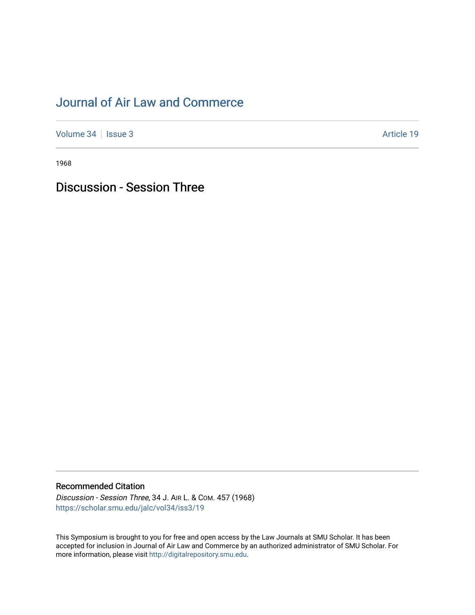## [Journal of Air Law and Commerce](https://scholar.smu.edu/jalc)

[Volume 34](https://scholar.smu.edu/jalc/vol34) | [Issue 3](https://scholar.smu.edu/jalc/vol34/iss3) Article 19

1968

Discussion - Session Three

## Recommended Citation

Discussion - Session Three, 34 J. AIR L. & COM. 457 (1968) [https://scholar.smu.edu/jalc/vol34/iss3/19](https://scholar.smu.edu/jalc/vol34/iss3/19?utm_source=scholar.smu.edu%2Fjalc%2Fvol34%2Fiss3%2F19&utm_medium=PDF&utm_campaign=PDFCoverPages)

This Symposium is brought to you for free and open access by the Law Journals at SMU Scholar. It has been accepted for inclusion in Journal of Air Law and Commerce by an authorized administrator of SMU Scholar. For more information, please visit [http://digitalrepository.smu.edu](http://digitalrepository.smu.edu/).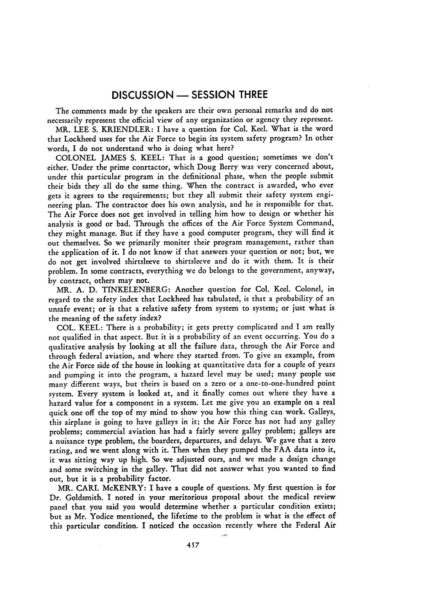## **DISCUSSION - SESSION** THREE

The comments made by the speakers are their own personal remarks and do not necessarily represent the official view of any organization or agency they represent.

MR. **LEE** S. KRIENDLER: I have a question for Col. Keel. What is the word that Lockheed uses for the Air Force to begin its system safety program? In other words, I do not understand who is doing what here?

COLONEL JAMES S. KEEL: That is a good question; sometimes we don't either. Under the prime conrtactor, which Doug Berry was very concerned about, under this particular program in the definitional phase, when the people submit their bids they all do the same thing. When the contract is awarded, who ever gets it agrees to the requirements; but they all submit their safety system engineering plan. The contractor does his own analysis, and he is responsible for that. The Air Force does not get involved in telling him how to design or whether his analysis is good or bad. Through the offices of the Air Force System Command, they might manage. But if they have a good computer program, they will find it out themselves. So we primarily moniter their program management, rather than the application of it. I do not know if that answers your question or not; but, we do not get involved shirtsleeve to shirtsleeve and do it with them. It is their problem. In some contracts, everything we do belongs to the government, anyway, by contract, others may not.

MR. A. D. TINKELENBERG: Another question for Col. Keel. Colonel, in regard to the safety index that Lockheed has tabulated, is that a probability of an unsafe event; or is that a relative safety from system to system; or just what is the meaning of the safety index?

COL. KEEL: There is a probability; it gets pretty complicated and I am really not qualified in that aspect. But it is a probability of an event occurring. You do a qualitative analysis by looking at all the failure data, through the Air Force and through federal aviation, and where they started from. To give an example, from the Air Force side of the house in looking at quantitative data for a couple of years and pumping it into the program, a hazard level may be used; many people use many different ways, but theirs is based on a zero or a one-to-one-hundred point system. Every system is looked at, and it finally comes out where they have a hazard value for a component in a system. Let me give you an example on a real quick one off the top of my mind to show you how this thing can work. Galleys, this airplane is going to have galleys in it; the Air Force has not had any galley problems; commercial aviation has had a fairly severe galley problem; galleys are a nuisance type problem, the boarders, departures, and delays. We gave that a zero rating, and we went along with it. Then when they pumped the FAA data into it, it was sitting way up high. So we adjusted ours, and we made a design change and some switching in the galley. That did not answer what you wanted to find out, but it is a probability factor.

MR. CARL McKENRY: I have a couple of questions. **My** first question is for Dr. Goldsmith. I noted in your meritorious proposal about the medical review panel that you said you would determine whether a particular condition exists; but as Mr. Yodice mentioned, the lifetime to the problem is what is the effect of this particular condition. I noticed the occasion recently where the Federal Air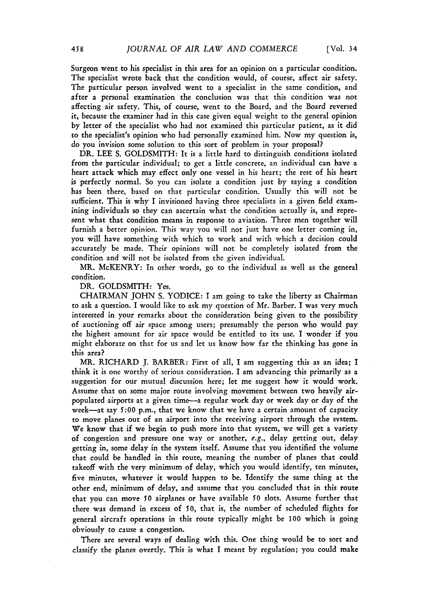Surgeon went to his specialist in this area for an opinion on a particular condition. The specialist wrote back that the condition would, of course, affect air safety. The particular person involved went to a specialist in the same condition, and after a personal examination the conclusion was that this condition was not affecting air safety. This, of course, went to the Board, and the Board reversed it, because the examiner had in this case given equal weight to the general opinion by letter of the specialist who had not examined this particular patient, as it did to the specialist's opinion who had personally examined him. Now my question is, do you invision some solution to this sort of problem in your proposal?

DR. **LEE** S. GOLDSMITH: It is a little hard to distinguish conditions isolated from the particular individual; to get a little concrete, an individual can have a heart attack which may effect only one vessel in his heart; the rest of his heart is perfectly normal. So you can isolate a condition just by saying a condition has been there, based on that particular condition. Usually this will not be sufficient. This is why I invisioned having three specialists in a given field examining individuals so they can ascertain what the condition actually is, and represent what that condition means in response to aviation. Three men together will furnish a better opinion. This way you will not just have one letter coming in, you will have something with which to work and with which a decision could accurately be made. Their opinions will not be completely isolated from the condition and will not be isolated from the given individual.

MR. McKENRY: In other words, go to the individual as well as the general condition.

DR. GOLDSMITH: Yes.

CHAIRMAN JOHN S. YODICE: I am going to take the liberty as Chairman to ask a question. I would like to ask my question of Mr. Barber. I was very much interested in your remarks about the consideration being given to the possibility of auctioning off air space among users; presumably the person who would pay the highest amount for air space would be entitled to its use. I wonder if you might elaborate on that for us and let us know how far the thinking has gone in this area?

MR. RICHARD J. BARBER: First of all, I am suggesting this as an idea; I think it is one worthy of serious consideration. I am advancing this primarily as a suggestion for our mutual discussion here; let me suggest how it would work. Assume that on some major route involving movement between two heavily airpopulated airports at a given time-a regular work day or week day or day of the week-at say 5:00 p.m., that we know that we have a certain amount of capacity to move planes out of an airport into the receiving airport through the system. We know that if we begin to push more into that system, we will get a variety of congestion and pressure one way or another, e.g., delay getting out, delay getting in, some delay in the system itself. Assume that you identified the volume that could be handled in this route, meaning the number of planes that could takeoff with the very minimum of delay, which you would identify, ten minutes, five minutes, whatever it would happen to be. Identify the same thing at the other end, minimum of delay, and assume that you concluded that in this route that you can move **50** airplanes or have available **50** slots. Assume further that there was demand in excess of **50,** that is, the number of scheduled flights for general aircraft operations in this route typically might be **100** which is going obviously to cause a congestion.

There are several ways of dealing with this. One thing would be to sort and classify the planes overtly. This is what I meant by regulation; you could make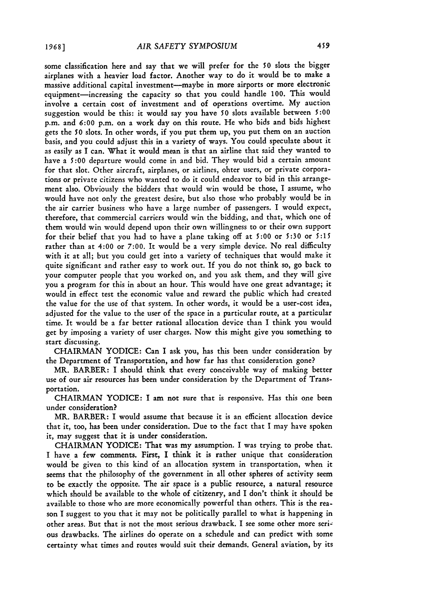some classification here and say that we will prefer for the **50** slots the bigger airplanes with a heavier load factor. Another way to do it would be to make a massive additional capital investment-maybe in more airports or more electronic equipment-increasing the capacity so that you could handle 100. This would involve a certain cost of investment and of operations overtime. My auction suggestion would be this: it would say you have **50** slots available between **5:00** p.m. and **6:00** p.m. on a work day on this route. He who bids and bids highest gets the **50** slots. In other words, if you put them up, you put them on an auction basis, and you could adjust this in a variety of ways. You could speculate about it as easily as I can. What it would mean is that an airline that said they wanted to have a 5:00 departure would come in and bid. They would bid a certain amount for that slot. Other aircraft, airplanes, or airlines, ohter users, or private corporations or private citizens who wanted to do it could endeavor to bid in this arrangement also. Obviously the bidders that would win would be those, I assume, who would have not only the greatest desire, but also those who probably would be in the air carrier business who have a large number of passengers. I would expect, therefore, that commercial carriers would win the bidding, and that, which one of them would win would depend upon their own willingness to or their own support for their belief that you had to have a plane taking off at **5:00** or **5:30** or **5:15** rather than at 4:00 or **7:00.** It would be a very simple device. No real difficulty with it at all; but you could get into a variety of techniques that would make it quite significant and rather easy to work out. If you do not think so, go back to your computer people that you worked on, and you ask them, and they will give you a program for this in about an hour. This would have one great advantage; it would in effect test the economic value and reward the public which had created the value for the use of that system. In other words, it would be a user-cost idea, adjusted for the value to the user of the space in a particular route, at a particular time. It would be a far better rational allocation device than I think you would get by imposing a variety of user charges. Now this might give you something to start discussing.

CHAIRMAN YODICE: Can I ask you, has this been under consideration by the Department of Transportation, and how far has that consideration gone?

MR. BARBER: I should think that every conceivable way of making better use of our air resources has been under consideration by the Department of Transportation.

CHAIRMAN YODICE: I am not sure that is responsive. Has this one been under consideration?

MR. BARBER: I would assume that because it is an efficient allocation device that it, too, has been under consideration. Due to the fact that I may have spoken it, may suggest that it is under consideration.

CHAIRMAN YODICE: That was my assumption. I was trying to probe that. I have a few comments. First, I think it is rather unique that consideration would be given to this kind of an allocation system in transportation, when it seems that the philosophy of the government in all other spheres of activity seem to be exactly the opposite. The air space is a public resource, a natural resource which should be available to the whole of citizenry, and I don't think it should be available to those who are more economically powerful than others. This is the reason I suggest to you that it may not be politically parallel to what is happening in other areas. But that is not the most serious drawback. I see some other more serious drawbacks. The airlines do operate on a schedule and can predict with some certainty what times and routes would suit their demands. General aviation, by its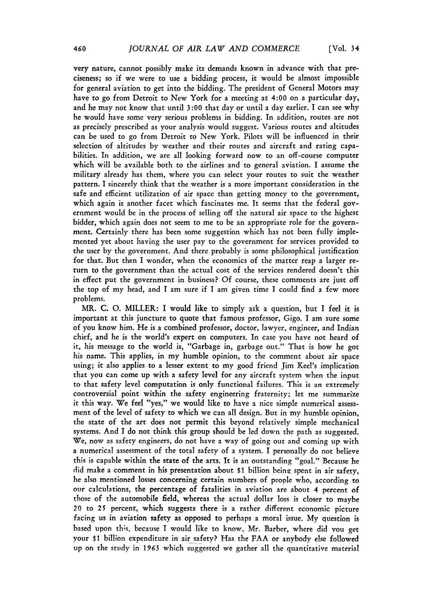very nature, cannot possibly make its demands known in advance with that preciseness; so if we were to use a bidding process, it would be almost impossible for general aviation to get into the bidding. The president of General Motors may have to go from Detroit to New York for a meeting at 4:00 on a particular day, and he may not know that until **3:00** that day or until a day earlier. I can see why he would have some very serious problems in bidding. In addition, routes are not as precisely prescribed as your analysis would suggest. Various routes and altitudes can be used to go from Detroit to New York. Pilots will be influenced in their selection of altitudes by weather and their routes and aircraft and rating capabilities. In addition, we are all looking forward now to an off-course computer which will be available both to the airlines and to general aviation. I assume the military already has them, where you can select your routes to suit the weather pattern. I sincerely think that the weather is a more important consideration in the safe and efficient utilization of air space than getting money to the government, which again is another facet which fascinates me. It seems that the federal government would be in the process of selling off the natural air space to the highest bidder, which again does not seem to me to be an appropriate role for the government. Certainly there has been some suggestion which has not been fully implemented yet about having the user pay to the government for services provided to the user by the government. And there probably is some philosophical justification for that. But then I wonder, when the economics of the matter reap a larger return to the government than the actual cost of the services rendered doesn't this in effect put the government in business? Of course, these comments are just off the top of my head, and I am sure if I am given time I could find a few more problems.

MR. C. **0.** MILLER: I would like to simply ask a question, but I feel it is important at this juncture to quote that famous professor, Gigo. I am sure some of you know him. He is a combined professor, doctor, lawyer, engineer, and Indian chief, and he is the world's expert on computers. In case you have not heard of it, his message to the world is, "Garbage in, garbage out." That is how he got his name. This applies, in my humble opinion, to the comment about air space using; it also applies to a lesser extent to my good friend Jim Keel's implication that you can come up with a safety level for any aircraft system when the input to that safety level computation is only functional failures. This is an extremely controversial point within the safety engineering fraternity; let me summarize it this way. We feel "yes," we would like to have a nice simple numerical assessment of the level of safety to which we can all design. But in my humble opinion, the state of the art does not permit this beyond relatively simple mechanical systems. And I do not think this group should be led down the path as suggested. We, now as safety engineers, do not have a way of going out and coming up with a numerical assessment of the total safety of a system. I personally do not believe this is capable within the state of the arts. It is an outstanding "goal." Because he did make a comment in his presentation about t1 billion beine spent in air safety, he also mentioned losses concerning certain numbers of people who, according to our calculations, the percentage of fatalities in aviation are about 4 percent of those of the automobile field, whereas the actual dollar loss is closer to maybe 20 to 25 percent, which suggests there is a rather different economic picture facing us in aviation safety as opposed to perhaps a moral issue. My question is based upon this, because I would like to know, Mr. Barber, where did you get your \$1 billion expenditure in air safety? Has the FAA or anybody else followed up on the study in 1963 which suggested we gather all the quantitative material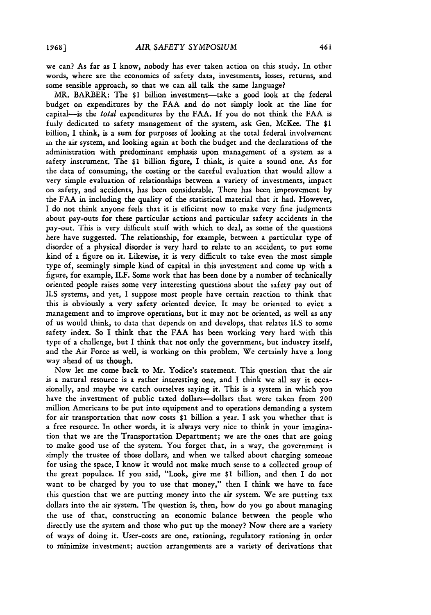we can? As far as I know, nobody has ever taken action on this study. In other words, where are the economics of safety data, investments, losses, returns, and some sensible approach, so that we can all talk the same language?

MR. BARBER: The \$1 billion investment-take a good look at the federal budget on expenditures **by** the **FAA** and do not simply look at the line for capital-is the *total* expenditures **by** the **FAA. If** you do not think the **FAA** is fully dedicated to safety management of the system, ask Gen. McKee. The **\$1** billion, I think, is a sum for purposes of looking at the total federal involvement in the air system, and looking again at both the budget and the declarations of the administration with predominant emphasis upon management of a system as a safety instrument. The \$1 billion figure, **I** think, is quite a sound one. As for the data of consuming, the costing or the careful evaluation that would allow a very simple evaluation of relationships between a variety of investments, impact on safety, and accidents, has been considerable. There has been improvement **by** the **FAA** in including the quality of the statistical material that it had. However, I do not think anyone feels that it is efficient now to make very fine judgments about pay-outs for these particular actions and particular safety accidents in the pay-out. This is very difficult stuff with which to deal, as some of the questions here have suggested. The relationship, for example, between a particular type of disorder of a physical disorder is very hard to relate to an accident, to put some kind of a figure on it. Likewise, it is very difficult to take even the most simple type of, seemingly simple kind of capital in this investment and come up with a figure, for example, ILF. Some work that has been done by a number of technically oriented people raises some very interesting questions about the safety pay out of ILS systems, and yet, I suppose most people have certain reaction to think that this is obviously a very safety oriented device. It may be oriented to evict a management and to improve operations, but it may not be oriented, as well as any of us would think, to data that depends on and develops, that relates ILS to some safety index. So I think that the FAA has been working very hard with this type of a challenge, but I think that not only the government, but industry itself, and the Air Force as well, is working on this problem. We certainly have a long way ahead of us though.

Now let me come back to Mr. Yodice's statement. This question that the air is a natural resource is a rather interesting one, and I think we all say it occasionally, and maybe we catch ourselves saying it. This is a system in which you have the investment of public taxed dollars-dollars that were taken from 200 million Americans to be put into equipment and to operations demanding a system for air transportation that now costs **\$1** billion a year. I ask you whether that is a free resource. In other words, it is always very nice to think in your imagination that we are the Transportation Department; we are the ones that are going to make good use of the system. You forget that, in a way, the government is simply the trustee of those dollars, and when we talked about charging someone for using the space, I know it would not make much sense to a collected group of the great populace. **If** you said, "Look, give me \$1 billion, and then I do not want to be charged **by** you to use that money," then I think we have to face this question that we are putting money into the air system. We are putting tax dollars into the air system. The question is, then, how do you go about managing the use of that, constructing an economic balance between the people who directly use the system and those who put up the money? Now there are a variety of ways of doing it. User-costs are one, rationing, regulatory rationing in order to minimize investment; auction arrangements are a variety of derivations that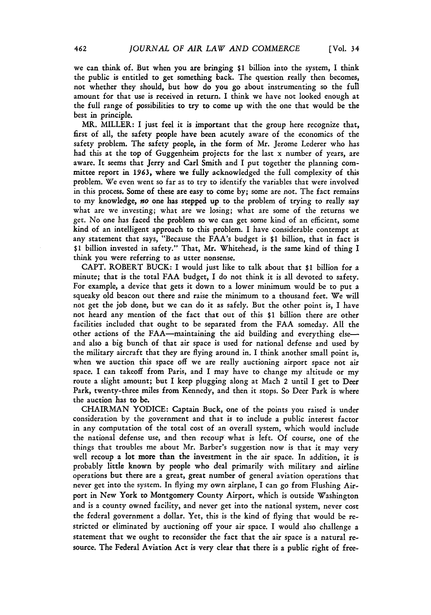we can think of. But when you are bringing **\$1** billion into the system, I think the public is entitled to get something back. The question really then becomes, not whether they should, but how do you go about instrumenting so the full amount for that use is received in return. I think we have not looked enough at the full range of possibilities to try to come up with the one that would be the best in principle.

MR. MILLER: I just feel it is important that the group here recognize that, first of all, the safety people have been acutely aware of the economics of the safety problem. The safety people, in the form of Mr. Jerome Lederer who has had this at the top of Guggenheim projects for the last x number of years, are aware. It seems that Jerry and Carl Smith and I put together the planning committee report in 1963, where we fully acknowledged the full complexity of this problem. We even went so far as to try to identify the variables that were involved in this process. Some of these are easy to come by; some are not. The fact remains to my knowledge, *no* one has stepped up to the problem of trying to really say what are we investing; what are we losing; what are some of the returns we get. No one has faced the problem so we can get some kind of an efficient, some kind of an intelligent approach to this problem. I have considerable contempt at any statement that says, "Because the FAA's budget is \$1 billion, that in fact is \$1 billion invested in safety." That, Mr. Whitehead, is the same kind of thing I think you were referring to as utter nonsense.

CAPT. ROBERT **BUCK:** I would just like to talk about that \$1 billion for a minute; that is the total **FAA** budget, I do not think it is all devoted to safety. For example, a device that gets it down to a lower minimum would be to put a squeaky old beacon out there and raise the minimum to a thousand feet. We will not get the **job** done, but we can do it as safely. But the other point is, I have not heard any mention of the fact that out of this **\$1** billion there are other facilities included that ought to be separated from the **FAA** someday. All the other actions of the FAA-maintaining the aid building and everything elseand also a big bunch of that air space is used for national defense and used by the military aircraft that they are flying around in. I think another small point is, when we auction this space off we are really auctioning airport space not air space. I can takeoff from Paris, and I may have to change my altitude or my route a slight amount; but I keep plugging along at Mach 2 until I get to Deer Park, twenty-three miles from Kennedy, and then it stops. So Deer Park is where the auction has to be.

CHAIRMAN YODICE: Captain Buck, one of the points you raised is under consideration by the government and that is to include a public interest factor in any computation of the total cost of an overall system, which would include the national defense use, and then recoup what is left. **Of** course, one of the things that troubles me about Mr. Barber's suggestion now is that it may very well recoup a lot more than the investment in the air space. In addition, it is probably little known by people who deal primarily with military and airline operations but there are a great, great number of general aviation operations that never get into the system. In flying my own airplane, I can go from Flushing Airport in New York to Montgomery County Airport, which is outside Washington and is a county owned facility, and never get into the national system, never cost the federal government a dollar. Yet, this is the kind of flying that would be restricted or eliminated by auctioning off your air space. I would also challenge a statement that we ought to reconsider the fact that the air space is a natural resource. The Federal Aviation Act is very clear that there is a public right of free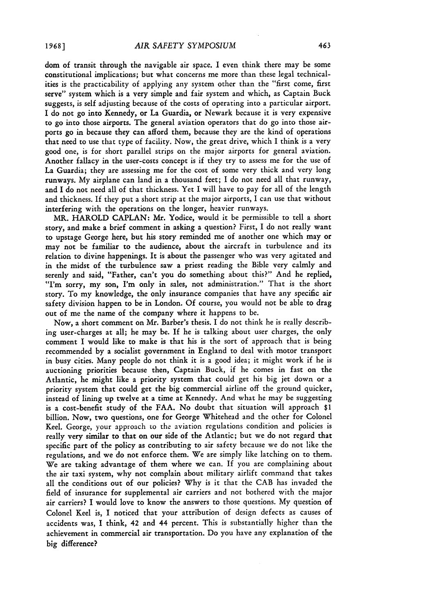dom of transit through the navigable air space. I even think there may be some constitutional implications; but what concerns me more than these legal technicalities is the practicability of applying any system other than the "first come, first serve" system which is a very simple and fair system and which, as Captain Buck suggests, is self adjusting because of the costs of operating into a particular airport. I do not go into Kennedy, or La Guardia, or Newark because it is very expensive to go into those airports. The general aviation operators that do go into those airports go in because they can afford them, because they are the kind of operations that need to use that type of facility. Now, the great drive, which I think is a very good one, is for short parallel strips on the major airports for general aviation. Another fallacy in the user-costs concept is if they try to assess me for the use of La Guardia; they are assessing me for the cost of some very thick and very long runways. **My** airplane can land in a thousand feet; I do not need all that runway, and I do not need all of that thickness. Yet I will have to pay for all of the length and thickness. If they put a short strip at the major airports, I can use that without interfering with the operations on the longer, heavier runways.

MR. HAROLD CAPLAN: Mr. Yodice, would it be permissible to tell a short story, and make a brief comment in asking a question? First, I do not really want to upstage George here, but his story reminded me of another one which may or may not be familiar to the audience, about the aircraft in turbulence and its relation to divine happenings. It is about the passenger who was very agitated and in the midst of the turbulence saw a priest reading the Bible very calmly and serenly and said, "Father, can't you do something about this?" And he replied, "I'm sorry, my son, I'm only in sales, not administration." That is the short story. To my knowledge, the only insurance companies that have any specific air safety division happen to be in London. Of course, you would not be able to drag out of me the name of the company where it happens to be.

Now, a short comment on Mr. Barber's thesis. I do not think he is really describing user-charges at all; he may be. If he is talking about user charges, the only comment I would like to make is that his is the sort of approach that is being recommended by a socialist government in England to deal with motor transport in busy cities. Many people do not think it is a good idea; it might work if he is auctioning priorities because then, Captain Buck, if he comes in fast on the Atlantic, he might like a priority system that could get his big jet down or a priority system that could get the big commercial airline off the ground quicker, instead of lining up twelve at a time at Kennedy. And what he may be suggesting is a cost-benefit study of the FAA. No doubt that situation will approach \$1 billion. Now, two questions, one for George Whitehead and the other for Colonel Keel. George, your approach to the aviation regulations condition and policies is really very similar to that on our side of the Atlantic; but we do not regard that specific part of the policy as contributing to air safety because we do not like the regulations, and we do not enforce them. We are simply like latching on to them. We are taking advantage of them where we can. If you are complaining about the air taxi system, why not complain about military airlift command that takes all the conditions out of our policies? Why is it that the CAB has invaded the field of insurance for supplemental air carriers and not bothered with the major air carriers? I would love to know the answers to those questions. My question of Colonel Keel is, I noticed that your attribution of design defects as causes of accidents was, I think, 42 and 44 percent. This is substantially higher than the achievement in commercial air transportation. Do you have any explanation of the big difference?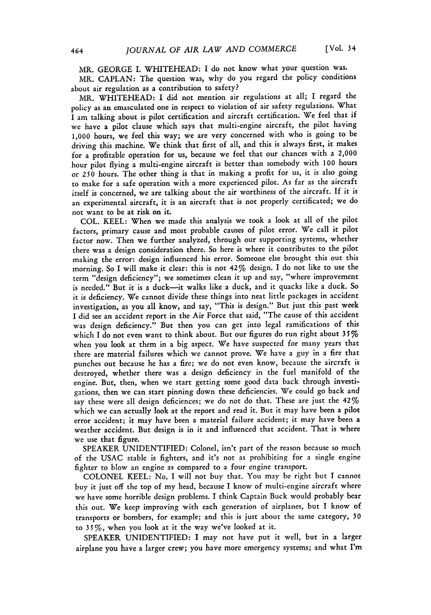MR. GEORGE I. WHITEHEAD: I do not know what your question was.

MR. CAPLAN: The question was, why do you regard the policy conditions about air regulation as a contribution to safety?

MR. WHITEHEAD: I did not mention air regulations at all; I regard the policy as an emasculated one in respect to violation of air safety regulations. What I am talking about is pilot certification and aircraft certification. We feel that if we have a pilot clause which says that multi-engine aircraft, the pilot having **1,000** hours, we feel this way; we are very concerned with who is going to be driving this machine. We think that first of all, and this is always first, it makes for a profitable operation for us, because we feel that our chances with a 2,000 hour pilot flying a multi-engine aircraft is better than somebody with **100** hours *or* **250** hours. The other thing is that in making a profit for us, it is also going to make for a safe operation with a more experienced pilot. As far as the aircraft itself is concerned, we are talking about the air worthiness of the aircraft. If it is an experimental aircraft, it is an aircraft that is not properly certificated; we do not want to be at risk on it.

COL. KEEL: When we made this analysis we took a look at all of the pilot factors, primary cause and most probable causes of pilot error. We call it pilot factor now. Then we further analyzed, through our supporting systems, whether there was a design consideration there. So here is where it contributes to the pilot making the error: design influenced his error. Someone else brought this out this morning. So I will make it clear: this is not 42% design. I do not like to use the term "design deficiency"; we sometimes clean it up and say, "where improvement is needed." But it is a duck-it walks like a duck, and it quacks like a duck. So it is deficiency. We cannot divide these things into neat little packages in accident investigation, as you all know, and say, "This is design." But just this past week I did see an accident report in the Air Force that said, "The cause of this accident was design deficiency." But then you can get into legal ramifications of this which I do not even want to think about. But our figures do run right about *35%* when you look at them in a big aspect. We have suspected for many years that there are material failures which we cannot prove. We have a guy in a fire that punches out because he has a fire; we do not even know, because the aircraft is destroyed, whether there was a design deficiency in the fuel manifold of the engine. But, then, when we start getting some good data back through investigations, then we can start pinning down these deficiencies. We could go back and say these were all design deficiences; we do not do that. These are just the 42% which we can actually look at the report and read it. But it may have been a pilot error accident; it may have been a material failure accident; it may have been a weather accident. But design is in it and influenced that accident. That is where we use that figure.

SPEAKER UNIDENTIFIED: Colonel, isn't part of the reason because so much of the USAC stable is fighters, and it's not as prohibiting for a single engine fighter to blow an engine as compared to a four engine transport.

COLONEL KEEL: No, I will not buy that. You may be right but I cannot buy it just off the top of my head, because I know of multi-engine aircraft where we have some horrible design problems. I think Captain Buck would probably bear this out. We keep improving with each generation of airplanes, but I know of transports or bombers, for example; and this is just about the same category, **30** to 3 *5* %, when you look at it the way we've looked at it.

SPEAKER UNIDENTIFIED: I may not have put it well, but in a larger airplane you have a larger crew; you have more emergency systems; and what I'm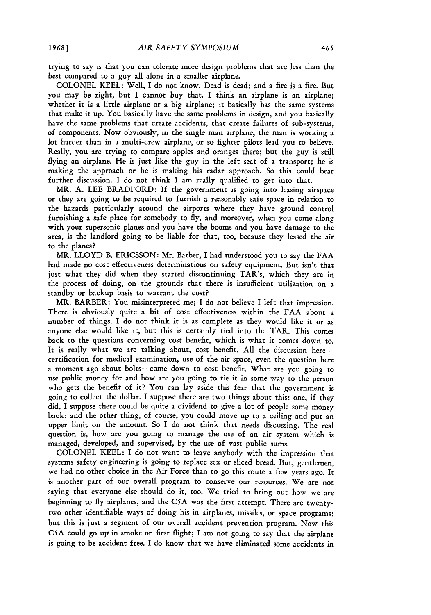trying to say is that you can tolerate more design problems that are less than the best compared to a guy all alone in a smaller airplane.

**COLONEL** KEEL: Well, I do not know. Dead is dead; and a fire is a fire. But you may be right, but I cannot buy that. I think an airplane is an airplane; whether it is a little airplane or a big airplane; it basically has the same systems that make it up. You basically have the same problems in design, and you basically have the same problems that create accidents, that create failures of sub-systems, of components. Now obviously, in the single man airplane, the man is working a lot harder than in a multi-crew airplane, or so fighter pilots lead you to believe. Really, you are trying to compare apples and oranges there; but the guy is still flying an airplane. He is just like the guy in the left seat of a transport; he is making the approach or he is making his radar approach. So this could bear further discussion. I do not think I am really qualified to get into that.

MR. **A. LEE** BRADFORD: **If** the government is going into leasing airspace or they are going to be required to furnish a reasonably safe space in relation to the hazards particularly around the airports where they have ground control furnishing a safe place for somebody to **fly,** and moreover, when you come along with your supersonic planes and you have the booms and you have damage to the area, is the landlord going to be liable for that, too, because they leased the air to the planes?

MR. LLOYD B. **ERICSSON:** Mr. Barber, I had understood you to say the **FAA** had made no cost effectiveness determinations on safety equipment. But isn't that just what they did when they started discontinuing TAR's, which they are in the process of doing, on the grounds that there is insufficient utilization on a standby or backup basis to warrant the cost?

MR. BARBER: You misinterpreted me; I do not believe I left that impression. There is obviously quite a bit of cost effectiveness within the **FAA** about a number of things. I do not think it is as complete as they would like it or as anyone else would like it, but this is certainly tied into the TAR. This comes back to the questions concerning cost benefit, which is what it comes down to. It is really what we are talking about, cost benefit. All the discussion herecertification for medical examination, use of the air space, even the question here a moment ago about bolts-come down to cost benefit. What are you going to use public money for and how are you going to tie it in some way to the person who gets the benefit of it? You can lay aside this fear that the government is going to collect the dollar. I suppose there are two things about this: one, if they did, I suppose there could be quite a dividend to give a lot of people some money back; and the other thing, of course, you could move up to a ceiling and put an upper limit on the amount. So I do not think that needs discussing. The real question is, how are you going to manage the use of an air system which is managed, developed, and supervised, **by** the use of vast public sums.

**COLONEL** KEEL: I do not want to leave anybody with the impression that systems safety engineering is going to replace sex or sliced bread. But, gentlemen, we had no other choice in the Air Force than to go this route a few years ago. It is another part of our overall program to conserve our resources. We are not saying that everyone else should do it, too. We tried to bring out how we are beginning to fly airplanes, and the **C5A** was the first attempt. There are twentytwo other identifiable ways of doing his in airplanes, missiles, or space programs; but this is just a segment of our overall accident prevention program. Now this **C5A** could go up in smoke on first flight; I am not going to say that the airplane is going to be accident free. I do know that we have eliminated some accidents in